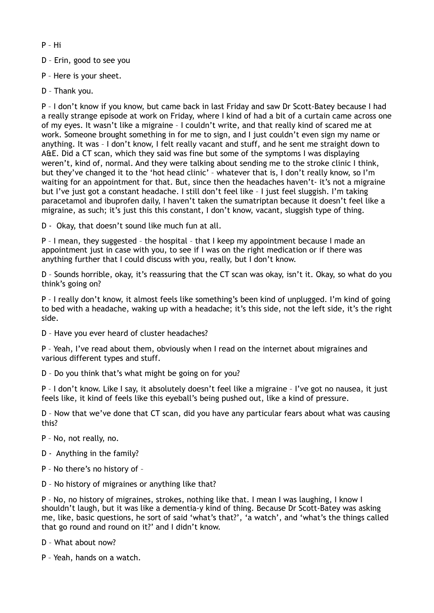- P Hi
- D Erin, good to see you
- P Here is your sheet.
- D Thank you.

P – I don't know if you know, but came back in last Friday and saw Dr Scott-Batey because I had a really strange episode at work on Friday, where I kind of had a bit of a curtain came across one of my eyes. It wasn't like a migraine – I couldn't write, and that really kind of scared me at work. Someone brought something in for me to sign, and I just couldn't even sign my name or anything. It was – I don't know, I felt really vacant and stuff, and he sent me straight down to A&E. Did a CT scan, which they said was fine but some of the symptoms I was displaying weren't, kind of, normal. And they were talking about sending me to the stroke clinic I think, but they've changed it to the 'hot head clinic' – whatever that is, I don't really know, so I'm waiting for an appointment for that. But, since then the headaches haven't- it's not a migraine but I've just got a constant headache. I still don't feel like – I just feel sluggish. I'm taking paracetamol and ibuprofen daily, I haven't taken the sumatriptan because it doesn't feel like a migraine, as such; it's just this this constant, I don't know, vacant, sluggish type of thing.

D - Okay, that doesn't sound like much fun at all.

P – I mean, they suggested – the hospital – that I keep my appointment because I made an appointment just in case with you, to see if I was on the right medication or if there was anything further that I could discuss with you, really, but I don't know.

D – Sounds horrible, okay, it's reassuring that the CT scan was okay, isn't it. Okay, so what do you think's going on?

P – I really don't know, it almost feels like something's been kind of unplugged. I'm kind of going to bed with a headache, waking up with a headache; it's this side, not the left side, it's the right side.

D – Have you ever heard of cluster headaches?

P – Yeah, I've read about them, obviously when I read on the internet about migraines and various different types and stuff.

D – Do you think that's what might be going on for you?

P – I don't know. Like I say, it absolutely doesn't feel like a migraine – I've got no nausea, it just feels like, it kind of feels like this eyeball's being pushed out, like a kind of pressure.

D – Now that we've done that CT scan, did you have any particular fears about what was causing this?

- P No, not really, no.
- D Anything in the family?
- P No there's no history of –
- D No history of migraines or anything like that?

P – No, no history of migraines, strokes, nothing like that. I mean I was laughing, I know I shouldn't laugh, but it was like a dementia-y kind of thing. Because Dr Scott-Batey was asking me, like, basic questions, he sort of said 'what's that?', 'a watch', and 'what's the things called that go round and round on it?' and I didn't know.

- D What about now?
- P Yeah, hands on a watch.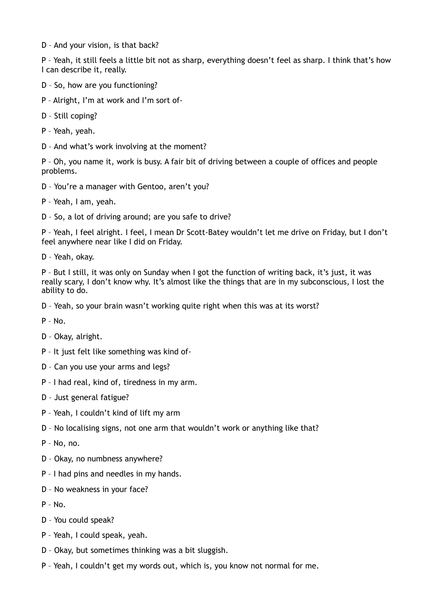D – And your vision, is that back?

P – Yeah, it still feels a little bit not as sharp, everything doesn't feel as sharp. I think that's how I can describe it, really.

- D So, how are you functioning?
- P Alright, I'm at work and I'm sort of-
- D Still coping?
- P Yeah, yeah.
- D And what's work involving at the moment?

P – Oh, you name it, work is busy. A fair bit of driving between a couple of offices and people problems.

- D You're a manager with Gentoo, aren't you?
- P Yeah, I am, yeah.
- D So, a lot of driving around; are you safe to drive?

P – Yeah, I feel alright. I feel, I mean Dr Scott-Batey wouldn't let me drive on Friday, but I don't feel anywhere near like I did on Friday.

D – Yeah, okay.

P – But I still, it was only on Sunday when I got the function of writing back, it's just, it was really scary, I don't know why. It's almost like the things that are in my subconscious, I lost the ability to do.

D – Yeah, so your brain wasn't working quite right when this was at its worst?

- P No.
- D Okay, alright.
- P It just felt like something was kind of-
- D Can you use your arms and legs?
- P I had real, kind of, tiredness in my arm.
- D Just general fatigue?
- P Yeah, I couldn't kind of lift my arm
- D No localising signs, not one arm that wouldn't work or anything like that?
- P No, no.
- D Okay, no numbness anywhere?
- P I had pins and needles in my hands.
- D No weakness in your face?
- $P No.$
- D You could speak?
- P Yeah, I could speak, yeah.
- D Okay, but sometimes thinking was a bit sluggish.
- P Yeah, I couldn't get my words out, which is, you know not normal for me.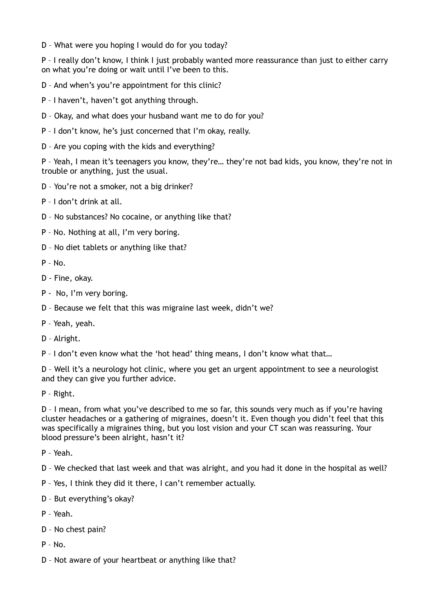D – What were you hoping I would do for you today?

P – I really don't know, I think I just probably wanted more reassurance than just to either carry on what you're doing or wait until I've been to this.

- D And when's you're appointment for this clinic?
- P I haven't, haven't got anything through.
- D Okay, and what does your husband want me to do for you?
- P I don't know, he's just concerned that I'm okay, really.
- D Are you coping with the kids and everything?

P – Yeah, I mean it's teenagers you know, they're… they're not bad kids, you know, they're not in trouble or anything, just the usual.

D – You're not a smoker, not a big drinker?

P – I don't drink at all.

- D No substances? No cocaine, or anything like that?
- P No. Nothing at all, I'm very boring.
- D No diet tablets or anything like that?

P – No.

- D Fine, okay.
- P No, I'm very boring.
- D Because we felt that this was migraine last week, didn't we?
- P Yeah, yeah.
- D Alright.

P – I don't even know what the 'hot head' thing means, I don't know what that…

D – Well it's a neurology hot clinic, where you get an urgent appointment to see a neurologist and they can give you further advice.

P – Right.

D – I mean, from what you've described to me so far, this sounds very much as if you're having cluster headaches or a gathering of migraines, doesn't it. Even though you didn't feel that this was specifically a migraines thing, but you lost vision and your CT scan was reassuring. Your blood pressure's been alright, hasn't it?

P – Yeah.

- D We checked that last week and that was alright, and you had it done in the hospital as well?
- P Yes, I think they did it there, I can't remember actually.
- D But everything's okay?
- P Yeah.
- D No chest pain?
- $P No$ .
- D Not aware of your heartbeat or anything like that?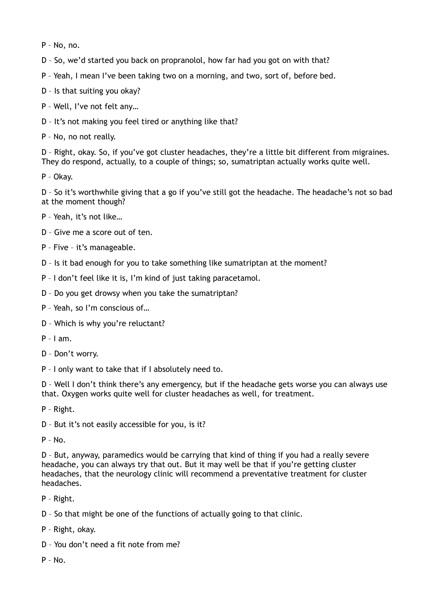P – No, no.

D – So, we'd started you back on propranolol, how far had you got on with that?

P – Yeah, I mean I've been taking two on a morning, and two, sort of, before bed.

- D Is that suiting you okay?
- P Well, I've not felt any…
- D It's not making you feel tired or anything like that?
- P No, no not really.

D – Right, okay. So, if you've got cluster headaches, they're a little bit different from migraines. They do respond, actually, to a couple of things; so, sumatriptan actually works quite well.

P – Okay.

D – So it's worthwhile giving that a go if you've still got the headache. The headache's not so bad at the moment though?

- P Yeah, it's not like…
- D Give me a score out of ten.
- P Five it's manageable.
- D Is it bad enough for you to take something like sumatriptan at the moment?
- P I don't feel like it is, I'm kind of just taking paracetamol.
- D Do you get drowsy when you take the sumatriptan?
- P Yeah, so I'm conscious of…
- D Which is why you're reluctant?
- $P I$  am.
- D Don't worry.
- P I only want to take that if I absolutely need to.

D – Well I don't think there's any emergency, but if the headache gets worse you can always use that. Oxygen works quite well for cluster headaches as well, for treatment.

P – Right.

D – But it's not easily accessible for you, is it?

 $P - No$ .

D – But, anyway, paramedics would be carrying that kind of thing if you had a really severe headache, you can always try that out. But it may well be that if you're getting cluster headaches, that the neurology clinic will recommend a preventative treatment for cluster headaches.

- P Right.
- D So that might be one of the functions of actually going to that clinic.
- P Right, okay.
- D You don't need a fit note from me?
- $P No$ .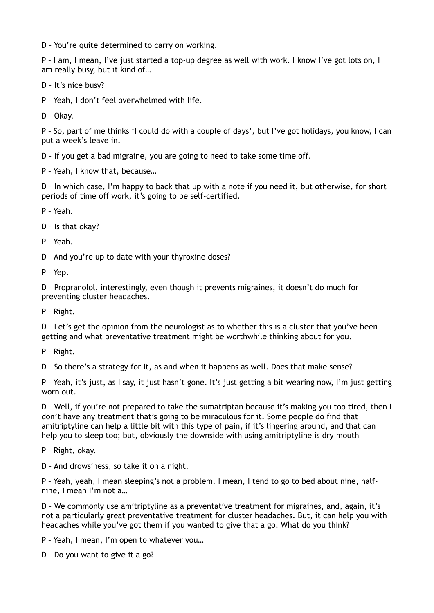D – You're quite determined to carry on working.

P – I am, I mean, I've just started a top-up degree as well with work. I know I've got lots on, I am really busy, but it kind of…

- D It's nice busy?
- P Yeah, I don't feel overwhelmed with life.

D – Okay.

P – So, part of me thinks 'I could do with a couple of days', but I've got holidays, you know, I can put a week's leave in.

D – If you get a bad migraine, you are going to need to take some time off.

P – Yeah, I know that, because…

D – In which case, I'm happy to back that up with a note if you need it, but otherwise, for short periods of time off work, it's going to be self-certified.

P – Yeah.

D – Is that okay?

P – Yeah.

D – And you're up to date with your thyroxine doses?

P – Yep.

D – Propranolol, interestingly, even though it prevents migraines, it doesn't do much for preventing cluster headaches.

P – Right.

D – Let's get the opinion from the neurologist as to whether this is a cluster that you've been getting and what preventative treatment might be worthwhile thinking about for you.

P – Right.

D – So there's a strategy for it, as and when it happens as well. Does that make sense?

P – Yeah, it's just, as I say, it just hasn't gone. It's just getting a bit wearing now, I'm just getting worn out.

D – Well, if you're not prepared to take the sumatriptan because it's making you too tired, then I don't have any treatment that's going to be miraculous for it. Some people do find that amitriptyline can help a little bit with this type of pain, if it's lingering around, and that can help you to sleep too; but, obviously the downside with using amitriptyline is dry mouth

P – Right, okay.

D – And drowsiness, so take it on a night.

P – Yeah, yeah, I mean sleeping's not a problem. I mean, I tend to go to bed about nine, halfnine, I mean I'm not a…

D – We commonly use amitriptyline as a preventative treatment for migraines, and, again, it's not a particularly great preventative treatment for cluster headaches. But, it can help you with headaches while you've got them if you wanted to give that a go. What do you think?

P – Yeah, I mean, I'm open to whatever you…

D – Do you want to give it a go?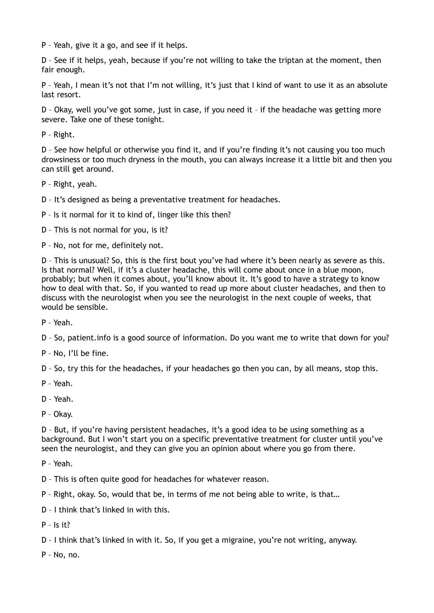P – Yeah, give it a go, and see if it helps.

D – See if it helps, yeah, because if you're not willing to take the triptan at the moment, then fair enough.

P – Yeah, I mean it's not that I'm not willing, it's just that I kind of want to use it as an absolute last resort.

D – Okay, well you've got some, just in case, if you need it – if the headache was getting more severe. Take one of these tonight.

P – Right.

D – See how helpful or otherwise you find it, and if you're finding it's not causing you too much drowsiness or too much dryness in the mouth, you can always increase it a little bit and then you can still get around.

P – Right, yeah.

D – It's designed as being a preventative treatment for headaches.

P – Is it normal for it to kind of, linger like this then?

D – This is not normal for you, is it?

P – No, not for me, definitely not.

D – This is unusual? So, this is the first bout you've had where it's been nearly as severe as this. Is that normal? Well, if it's a cluster headache, this will come about once in a blue moon, probably; but when it comes about, you'll know about it. It's good to have a strategy to know how to deal with that. So, if you wanted to read up more about cluster headaches, and then to discuss with the neurologist when you see the neurologist in the next couple of weeks, that would be sensible.

P – Yeah.

D – So, patient.info is a good source of information. Do you want me to write that down for you?

P – No, I'll be fine.

D – So, try this for the headaches, if your headaches go then you can, by all means, stop this.

- P Yeah.
- D Yeah.

P – Okay.

D – But, if you're having persistent headaches, it's a good idea to be using something as a background. But I won't start you on a specific preventative treatment for cluster until you've seen the neurologist, and they can give you an opinion about where you go from there.

P – Yeah.

D – This is often quite good for headaches for whatever reason.

P – Right, okay. So, would that be, in terms of me not being able to write, is that…

D – I think that's linked in with this.

 $P - Is it?$ 

D – I think that's linked in with it. So, if you get a migraine, you're not writing, anyway.

P – No, no.